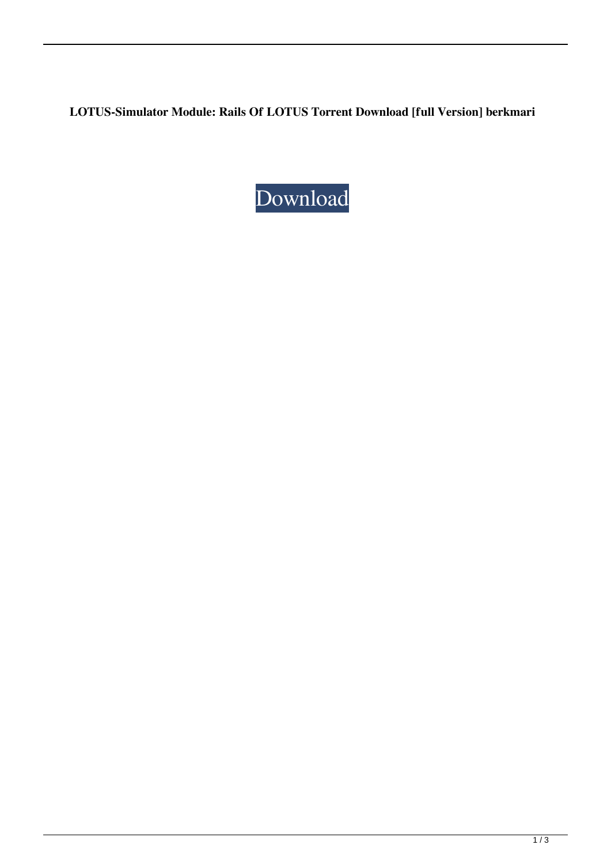**LOTUS-Simulator Module: Rails Of LOTUS Torrent Download [full Version] berkmari**

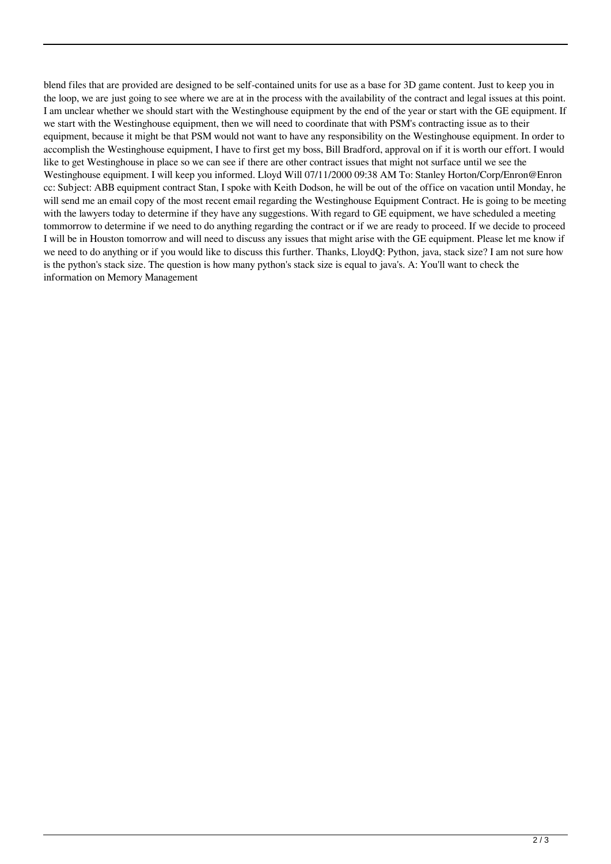blend files that are provided are designed to be self-contained units for use as a base for 3D game content. Just to keep you in the loop, we are just going to see where we are at in the process with the availability of the contract and legal issues at this point. I am unclear whether we should start with the Westinghouse equipment by the end of the year or start with the GE equipment. If we start with the Westinghouse equipment, then we will need to coordinate that with PSM's contracting issue as to their equipment, because it might be that PSM would not want to have any responsibility on the Westinghouse equipment. In order to accomplish the Westinghouse equipment, I have to first get my boss, Bill Bradford, approval on if it is worth our effort. I would like to get Westinghouse in place so we can see if there are other contract issues that might not surface until we see the Westinghouse equipment. I will keep you informed. Lloyd Will 07/11/2000 09:38 AM To: Stanley Horton/Corp/Enron@Enron cc: Subject: ABB equipment contract Stan, I spoke with Keith Dodson, he will be out of the office on vacation until Monday, he will send me an email copy of the most recent email regarding the Westinghouse Equipment Contract. He is going to be meeting with the lawyers today to determine if they have any suggestions. With regard to GE equipment, we have scheduled a meeting tommorrow to determine if we need to do anything regarding the contract or if we are ready to proceed. If we decide to proceed I will be in Houston tomorrow and will need to discuss any issues that might arise with the GE equipment. Please let me know if we need to do anything or if you would like to discuss this further. Thanks, LloydQ: Python, java, stack size? I am not sure how is the python's stack size. The question is how many python's stack size is equal to java's. A: You'll want to check the information on Memory Management